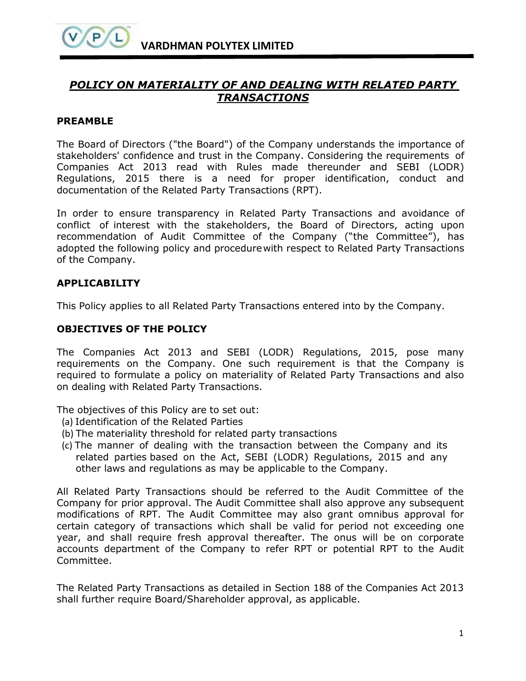# *POLICY ON MATERIALITY OF AND DEALING WITH RELATED PARTY TRANSACTIONS*

## **PREAMBLE**

The Board of Directors ("the Board") of the Company understands the importance of stakeholders' confidence and trust in the Company. Considering the requirements of Companies Act 2013 read with Rules made thereunder and SEBI (LODR) Regulations, 2015 there is a need for proper identification, conduct and documentation of the Related Party Transactions (RPT).

In order to ensure transparency in Related Party Transactions and avoidance of conflict of interest with the stakeholders, the Board of Directors, acting upon recommendation of Audit Committee of the Company ("the Committee"), has adopted the following policy and procedurewith respect to Related Party Transactions of the Company.

# **APPLICABILITY**

This Policy applies to all Related Party Transactions entered into by the Company.

# **OBJECTIVES OF THE POLICY**

The Companies Act 2013 and SEBI (LODR) Regulations, 2015, pose many requirements on the Company. One such requirement is that the Company is required to formulate a policy on materiality of Related Party Transactions and also on dealing with Related Party Transactions.

The objectives of this Policy are to set out:

- (a) Identification of the Related Parties
- (b) The materiality threshold for related party transactions
- (c) The manner of dealing with the transaction between the Company and its related parties based on the Act, SEBI (LODR) Regulations, 2015 and any other laws and regulations as may be applicable to the Company.

All Related Party Transactions should be referred to the Audit Committee of the Company for prior approval. The Audit Committee shall also approve any subsequent modifications of RPT. The Audit Committee may also grant omnibus approval for certain category of transactions which shall be valid for period not exceeding one year, and shall require fresh approval thereafter. The onus will be on corporate accounts department of the Company to refer RPT or potential RPT to the Audit Committee.

The Related Party Transactions as detailed in Section 188 of the Companies Act 2013 shall further require Board/Shareholder approval, as applicable.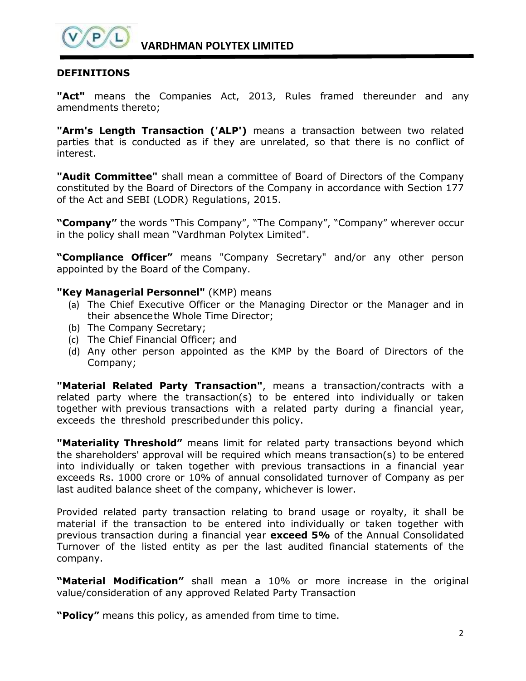

**VARDHMAN POLYTEX LIMITED**

## **DEFINITIONS**

**"Act"** means the Companies Act, 2013, Rules framed thereunder and any amendments thereto;

**"Arm's Length Transaction ('ALP')** means a transaction between two related parties that is conducted as if they are unrelated, so that there is no conflict of interest.

**"Audit Committee"** shall mean a committee of Board of Directors of the Company constituted by the Board of Directors of the Company in accordance with Section 177 of the Act and SEBI (LODR) Regulations, 2015.

**"Company"** the words "This Company", "The Company", "Company" wherever occur in the policy shall mean "Vardhman Polytex Limited".

**"Compliance Officer"** means "Company Secretary" and/or any other person appointed by the Board of the Company.

#### **"Key Managerial Personnel"** (KMP) means

- (a) The Chief Executive Officer or the Managing Director or the Manager and in their absencethe Whole Time Director;
- (b) The Company Secretary;
- (c) The Chief Financial Officer; and
- (d) Any other person appointed as the KMP by the Board of Directors of the Company;

**"Material Related Party Transaction"**, means a transaction/contracts with a related party where the transaction(s) to be entered into individually or taken together with previous transactions with a related party during a financial year, exceeds the threshold prescribedunder this policy.

**"Materiality Threshold"** means limit for related party transactions beyond which the shareholders' approval will be required which means transaction(s) to be entered into individually or taken together with previous transactions in a financial year exceeds Rs. 1000 crore or 10% of annual consolidated turnover of Company as per last audited balance sheet of the company, whichever is lower.

Provided related party transaction relating to brand usage or royalty, it shall be material if the transaction to be entered into individually or taken together with previous transaction during a financial year **exceed 5%** of the Annual Consolidated Turnover of the listed entity as per the last audited financial statements of the company.

**"Material Modification"** shall mean a 10% or more increase in the original value/consideration of any approved Related Party Transaction

**"Policy"** means this policy, as amended from time to time.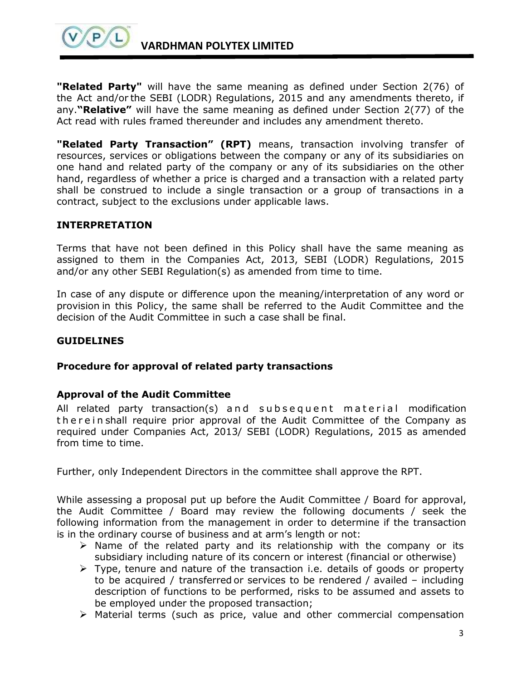

**"Related Party"** will have the same meaning as defined under Section 2(76) of the Act and/or the SEBI (LODR) Regulations, 2015 and any amendments thereto, if any.**"Relative"** will have the same meaning as defined under Section 2(77) of the Act read with rules framed thereunder and includes any amendment thereto.

**"Related Party Transaction" (RPT)** means, transaction involving transfer of resources, services or obligations between the company or any of its subsidiaries on one hand and related party of the company or any of its subsidiaries on the other hand, regardless of whether a price is charged and a transaction with a related party shall be construed to include a single transaction or a group of transactions in a contract, subject to the exclusions under applicable laws.

## **INTERPRETATION**

Terms that have not been defined in this Policy shall have the same meaning as assigned to them in the Companies Act, 2013, SEBI (LODR) Regulations, 2015 and/or any other SEBI Regulation(s) as amended from time to time.

In case of any dispute or difference upon the meaning/interpretation of any word or provision in this Policy, the same shall be referred to the Audit Committee and the decision of the Audit Committee in such a case shall be final.

### **GUIDELINES**

#### **Procedure for approval of related party transactions**

#### **Approval of the Audit Committee**

All related party transaction(s) and subsequent material modification the rein shall require prior approval of the Audit Committee of the Company as required under Companies Act, 2013/ SEBI (LODR) Regulations, 2015 as amended from time to time.

Further, only Independent Directors in the committee shall approve the RPT.

While assessing a proposal put up before the Audit Committee / Board for approval, the Audit Committee / Board may review the following documents / seek the following information from the management in order to determine if the transaction is in the ordinary course of business and at arm's length or not:

- $\triangleright$  Name of the related party and its relationship with the company or its subsidiary including nature of its concern or interest (financial or otherwise)
- $\triangleright$  Type, tenure and nature of the transaction i.e. details of goods or property to be acquired / transferred or services to be rendered / availed – including description of functions to be performed, risks to be assumed and assets to be employed under the proposed transaction;
- $\triangleright$  Material terms (such as price, value and other commercial compensation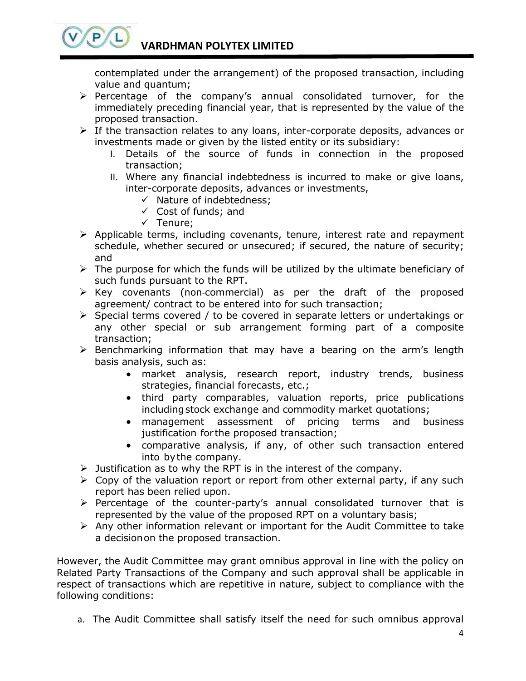contemplated under the arrangement) of the proposed transaction, including value and quantum;

- $\triangleright$  Percentage of the company's annual consolidated turnover, for the immediately preceding financial year, that is represented by the value of the proposed transaction.
- $\triangleright$  If the transaction relates to any loans, inter-corporate deposits, advances or investments made or given by the listed entity or its subsidiary:
	- I. Details of the source of funds in connection in the proposed transaction;
	- II. Where any financial indebtedness is incurred to make or give loans, inter-corporate deposits, advances or investments,
		- $\checkmark$  Nature of indebtedness;
		- $\checkmark$  Cost of funds; and
		- $\checkmark$  Tenure;

 $(P)$ 

- $\triangleright$  Applicable terms, including covenants, tenure, interest rate and repayment schedule, whether secured or unsecured; if secured, the nature of security; and
- $\triangleright$  The purpose for which the funds will be utilized by the ultimate beneficiary of such funds pursuant to the RPT.
- Key covenants (non‐commercial) as per the draft of the proposed agreement/ contract to be entered into for such transaction;
- $\triangleright$  Special terms covered / to be covered in separate letters or undertakings or any other special or sub arrangement forming part of a composite transaction;
- $\triangleright$  Benchmarking information that may have a bearing on the arm's length basis analysis, such as:
	- market analysis, research report, industry trends, business strategies, financial forecasts, etc.;
	- third party comparables, valuation reports, price publications includingstock exchange and commodity market quotations;
	- management assessment of pricing terms and business justification for the proposed transaction;
	- comparative analysis, if any, of other such transaction entered into bythe company.
- $\triangleright$  Justification as to why the RPT is in the interest of the company.
- $\triangleright$  Copy of the valuation report or report from other external party, if any such report has been relied upon.
- $\triangleright$  Percentage of the counter-party's annual consolidated turnover that is represented by the value of the proposed RPT on a voluntary basis;
- $\triangleright$  Any other information relevant or important for the Audit Committee to take a decisionon the proposed transaction.

However, the Audit Committee may grant omnibus approval in line with the policy on Related Party Transactions of the Company and such approval shall be applicable in respect of transactions which are repetitive in nature, subject to compliance with the following conditions:

a. The Audit Committee shall satisfy itself the need for such omnibus approval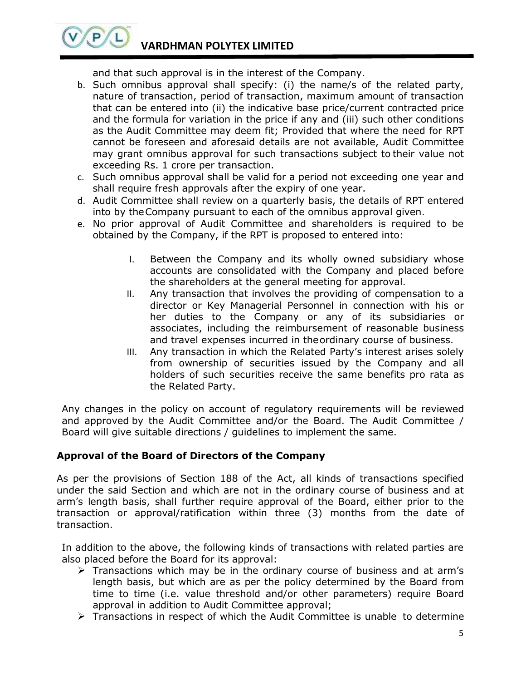# **VARDHMAN POLYTEX LIMITED**

 $(P)$ 

and that such approval is in the interest of the Company.

- b. Such omnibus approval shall specify: (i) the name/s of the related party, nature of transaction, period of transaction, maximum amount of transaction that can be entered into (ii) the indicative base price/current contracted price and the formula for variation in the price if any and (iii) such other conditions as the Audit Committee may deem fit; Provided that where the need for RPT cannot be foreseen and aforesaid details are not available, Audit Committee may grant omnibus approval for such transactions subject to their value not exceeding Rs. 1 crore per transaction.
- c. Such omnibus approval shall be valid for a period not exceeding one year and shall require fresh approvals after the expiry of one year.
- d. Audit Committee shall review on a quarterly basis, the details of RPT entered into by theCompany pursuant to each of the omnibus approval given.
- e. No prior approval of Audit Committee and shareholders is required to be obtained by the Company, if the RPT is proposed to entered into:
	- I. Between the Company and its wholly owned subsidiary whose accounts are consolidated with the Company and placed before the shareholders at the general meeting for approval.
	- II. Any transaction that involves the providing of compensation to a director or Key Managerial Personnel in connection with his or her duties to the Company or any of its subsidiaries or associates, including the reimbursement of reasonable business and travel expenses incurred in theordinary course of business.
	- III. Any transaction in which the Related Party's interest arises solely from ownership of securities issued by the Company and all holders of such securities receive the same benefits pro rata as the Related Party.

Any changes in the policy on account of regulatory requirements will be reviewed and approved by the Audit Committee and/or the Board. The Audit Committee / Board will give suitable directions / guidelines to implement the same.

## **Approval of the Board of Directors of the Company**

As per the provisions of Section 188 of the Act, all kinds of transactions specified under the said Section and which are not in the ordinary course of business and at arm's length basis, shall further require approval of the Board, either prior to the transaction or approval/ratification within three (3) months from the date of transaction.

In addition to the above, the following kinds of transactions with related parties are also placed before the Board for its approval:

- $\triangleright$  Transactions which may be in the ordinary course of business and at arm's length basis, but which are as per the policy determined by the Board from time to time (i.e. value threshold and/or other parameters) require Board approval in addition to Audit Committee approval;
- $\triangleright$  Transactions in respect of which the Audit Committee is unable to determine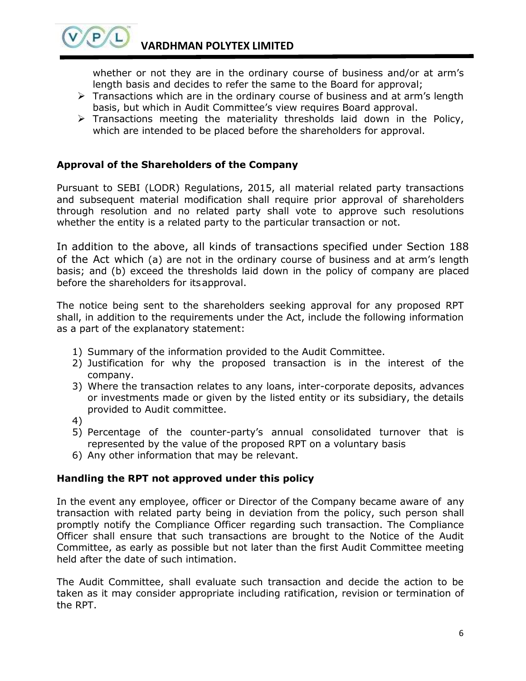whether or not they are in the ordinary course of business and/or at arm's length basis and decides to refer the same to the Board for approval;

- $\triangleright$  Transactions which are in the ordinary course of business and at arm's length basis, but which in Audit Committee's view requires Board approval.
- $\triangleright$  Transactions meeting the materiality thresholds laid down in the Policy, which are intended to be placed before the shareholders for approval.

# **Approval of the Shareholders of the Company**

Pursuant to SEBI (LODR) Regulations, 2015, all material related party transactions and subsequent material modification shall require prior approval of shareholders through resolution and no related party shall vote to approve such resolutions whether the entity is a related party to the particular transaction or not.

In addition to the above, all kinds of transactions specified under Section 188 of the Act which (a) are not in the ordinary course of business and at arm's length basis; and (b) exceed the thresholds laid down in the policy of company are placed before the shareholders for itsapproval.

The notice being sent to the shareholders seeking approval for any proposed RPT shall, in addition to the requirements under the Act, include the following information as a part of the explanatory statement:

- 1) Summary of the information provided to the Audit Committee.
- 2) Justification for why the proposed transaction is in the interest of the company.
- 3) Where the transaction relates to any loans, inter-corporate deposits, advances or investments made or given by the listed entity or its subsidiary, the details provided to Audit committee.
- 4)

 $P$ 

- 5) Percentage of the counter-party's annual consolidated turnover that is represented by the value of the proposed RPT on a voluntary basis
- 6) Any other information that may be relevant.

## **Handling the RPT not approved under this policy**

In the event any employee, officer or Director of the Company became aware of any transaction with related party being in deviation from the policy, such person shall promptly notify the Compliance Officer regarding such transaction. The Compliance Officer shall ensure that such transactions are brought to the Notice of the Audit Committee, as early as possible but not later than the first Audit Committee meeting held after the date of such intimation.

The Audit Committee, shall evaluate such transaction and decide the action to be taken as it may consider appropriate including ratification, revision or termination of the RPT.